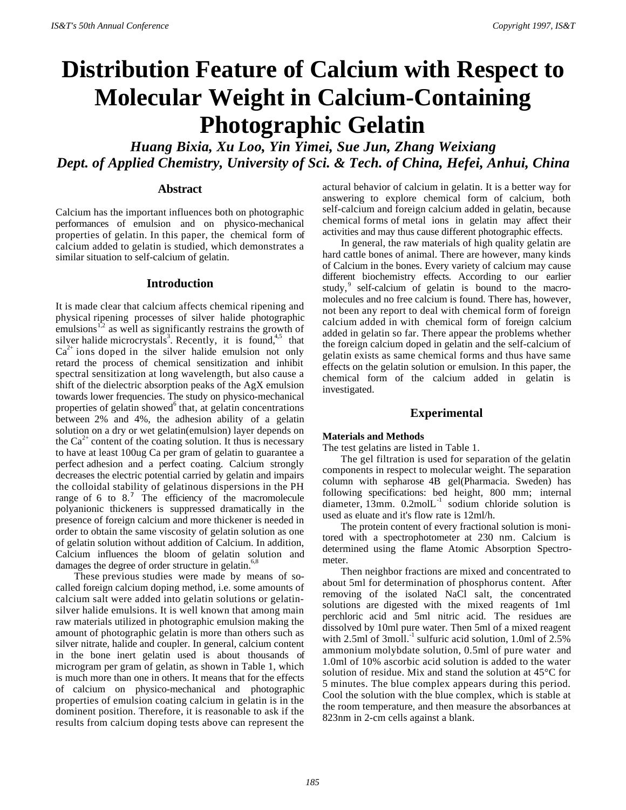# **Distribution Feature of Calcium with Respect to Molecular Weight in Calcium-Containing Photographic Gelatin**

*Huang Bixia, Xu Loo, Yin Yimei, Sue Jun, Zhang Weixiang Dept. of Applied Chemistry, University of Sci. & Tech. of China, Hefei, Anhui, China*

# **Abstract**

Calcium has the important influences both on photographic performances of emulsion and on physico-mechanical properties of gelatin. In this paper, the chemical form of calcium added to gelatin is studied, which demonstrates a similar situation to self-calcium of gelatin.

## **Introduction**

It is made clear that calcium affects chemical ripening and physical ripening processes of silver halide photographic emulsions<sup> $1,2$ </sup> as well as significantly restrains the growth of silver halide microcrystals<sup>3</sup>. Recently, it is found,<sup>4,5</sup> that  $Ca<sup>2+</sup>$  ions doped in the silver halide emulsion not only retard the process of chemical sensitization and inhibit spectral sensitization at long wavelength, but also cause a shift of the dielectric absorption peaks of the AgX emulsion towards lower frequencies. The study on physico-mechanical properties of gelatin showed $6$  that, at gelatin concentrations between 2% and 4%, the adhesion ability of a gelatin solution on a dry or wet gelatin(emulsion) layer depends on the  $Ca<sup>2+</sup>$  content of the coating solution. It thus is necessary to have at least 100ug Ca per gram of gelatin to guarantee a perfect adhesion and a perfect coating. Calcium strongly decreases the electric potential carried by gelatin and impairs the colloidal stability of gelatinous dispersions in the PH range of 6 to 8.<sup>7</sup> The efficiency of the macromolecule polyanionic thickeners is suppressed dramatically in the presence of foreign calcium and more thickener is needed in order to obtain the same viscosity of gelatin solution as one of gelatin solution without addition of Calcium. In addition, Calcium influences the bloom of gelatin solution and damages the degree of order structure in gelatin.<sup>6,8</sup>

These previous studies were made by means of socalled foreign calcium doping method, i.e. some amounts of calcium salt were added into gelatin solutions or gelatinsilver halide emulsions. It is well known that among main raw materials utilized in photographic emulsion making the amount of photographic gelatin is more than others such as silver nitrate, halide and coupler. In general, calcium content in the bone inert gelatin used is about thousands of microgram per gram of gelatin, as shown in Table 1, which is much more than one in others. It means that for the effects of calcium on physico-mechanical and photographic properties of emulsion coating calcium in gelatin is in the dominent position. Therefore, it is reasonable to ask if the results from calcium doping tests above can represent the

actural behavior of calcium in gelatin. It is a better way for answering to explore chemical form of calcium, both self-calcium and foreign calcium added in gelatin, because chemical forms of metal ions in gelatin may affect their activities and may thus cause different photographic effects.

In general, the raw materials of high quality gelatin are hard cattle bones of animal. There are however, many kinds of Calcium in the bones. Every variety of calcium may cause different biochemistry effects. According to our earlier study,<sup>9</sup> self-calcium of gelatin is bound to the macromolecules and no free calcium is found. There has, however, not been any report to deal with chemical form of foreign calcium added in with chemical form of foreign calcium added in gelatin so far. There appear the problems whether the foreign calcium doped in gelatin and the self-calcium of gelatin exists as same chemical forms and thus have same effects on the gelatin solution or emulsion. In this paper, the chemical form of the calcium added in gelatin is investigated.

## **Experimental**

#### **Materials and Methods**

The test gelatins are listed in Table 1.

The gel filtration is used for separation of the gelatin components in respect to molecular weight. The separation column with sepharose 4B gel(Pharmacia. Sweden) has following specifications: bed height, 800 mm; internal diameter,  $13$ mm.  $0.2$ mol $L^{-1}$  sodium chloride solution is used as eluate and it's flow rate is 12ml/h.

The protein content of every fractional solution is monitored with a spectrophotometer at 230 nm. Calcium is determined using the flame Atomic Absorption Spectrometer.

Then neighbor fractions are mixed and concentrated to about 5ml for determination of phosphorus content. After removing of the isolated NaCl salt, the concentrated solutions are digested with the mixed reagents of 1ml perchloric acid and 5ml nitric acid. The residues are dissolved by 10ml pure water. Then 5ml of a mixed reagent with 2.5ml of  $3$ moll.<sup>-1</sup> sulfuric acid solution, 1.0ml of 2.5% ammonium molybdate solution, 0.5ml of pure water and 1.0ml of 10% ascorbic acid solution is added to the water solution of residue. Mix and stand the solution at 45°C for 5 minutes. The blue complex appears during this period. Cool the solution with the blue complex, which is stable at the room temperature, and then measure the absorbances at 823nm in 2-cm cells against a blank.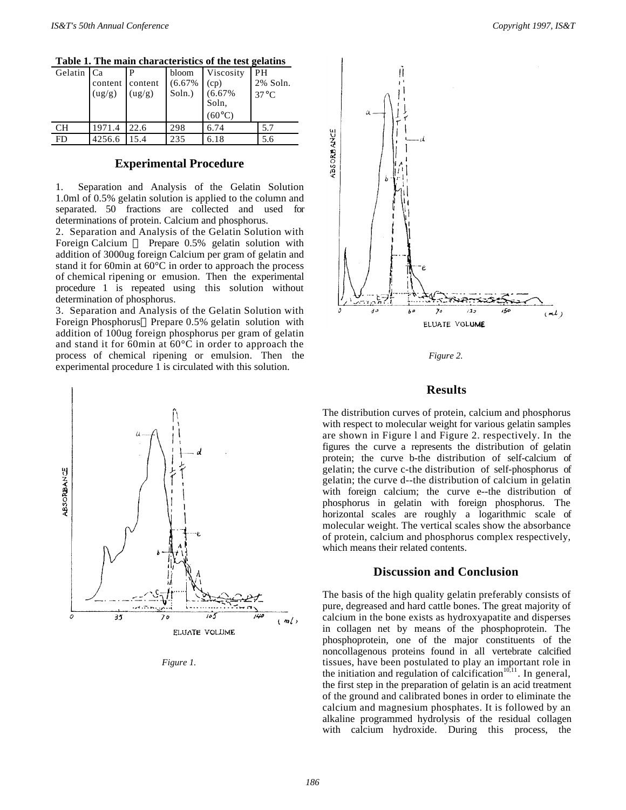| Table 1. The main enaracteristics of the test genatins |                 |        |        |                          |                |
|--------------------------------------------------------|-----------------|--------|--------|--------------------------|----------------|
| Gelatin Ca                                             |                 |        | bloom  | Viscosity                | PН             |
|                                                        | content content |        | (6.67% | (cp)                     | 2% Soln.       |
|                                                        | (ug/g)          | (ug/g) | Soln.) | (6.67%                   | $37^{\circ}$ C |
|                                                        |                 |        |        | Soln,<br>$(60^{\circ}C)$ |                |
|                                                        |                 |        |        |                          |                |
| <b>CH</b>                                              | 1971.4          | 22.6   | 298    | 6.74                     | 5.7            |
| FD                                                     | 4256.6          | 15.4   | 235    | 6.18                     | 5.6            |

**Table 1. The main characteristics of the test gelatins**

# **Experimental Procedure**

1. Separation and Analysis of the Gelatin Solution 1.0ml of 0.5% gelatin solution is applied to the column and separated. 50 fractions are collected and used for determinations of protein. Calcium and phosphorus.

2. Separation and Analysis of the Gelatin Solution with Foreign Calcium - Prepare 0.5% gelatin solution with addition of 3000ug foreign Calcium per gram of gelatin and stand it for 60min at 60°C in order to approach the process of chemical ripening or emusion. Then the experimental procedure 1 is repeated using this solution without determination of phosphorus.

3. Separation and Analysis of the Gelatin Solution with Foreign Phosphorus—Prepare 0.5% gelatin solution with addition of 100ug foreign phosphorus per gram of gelatin and stand it for 60min at 60°C in order to approach the process of chemical ripening or emulsion. Then the experimental procedure 1 is circulated with this solution.







*Figure 2.*

# **Results**

The distribution curves of protein, calcium and phosphorus with respect to molecular weight for various gelatin samples are shown in Figure l and Figure 2. respectively. In the figures the curve a represents the distribution of gelatin protein; the curve b-the distribution of self-calcium of gelatin; the curve c-the distribution of self-phosphorus of gelatin; the curve d--the distribution of calcium in gelatin with foreign calcium; the curve e--the distribution of phosphorus in gelatin with foreign phosphorus. The horizontal scales are roughly a logarithmic scale of molecular weight. The vertical scales show the absorbance of protein, calcium and phosphorus complex respectively, which means their related contents.

## **Discussion and Conclusion**

The basis of the high quality gelatin preferably consists of pure, degreased and hard cattle bones. The great majority of calcium in the bone exists as hydroxyapatite and disperses in collagen net by means of the phosphoprotein. The phosphoprotein, one of the major constituents of the noncollagenous proteins found in all vertebrate calcified tissues, have been postulated to play an important role in the initiation and regulation of calcification<sup> $10,11$ </sup>. In general, the first step in the preparation of gelatin is an acid treatment of the ground and calibrated bones in order to eliminate the calcium and magnesium phosphates. It is followed by an alkaline programmed hydrolysis of the residual collagen with calcium hydroxide. During this process, the